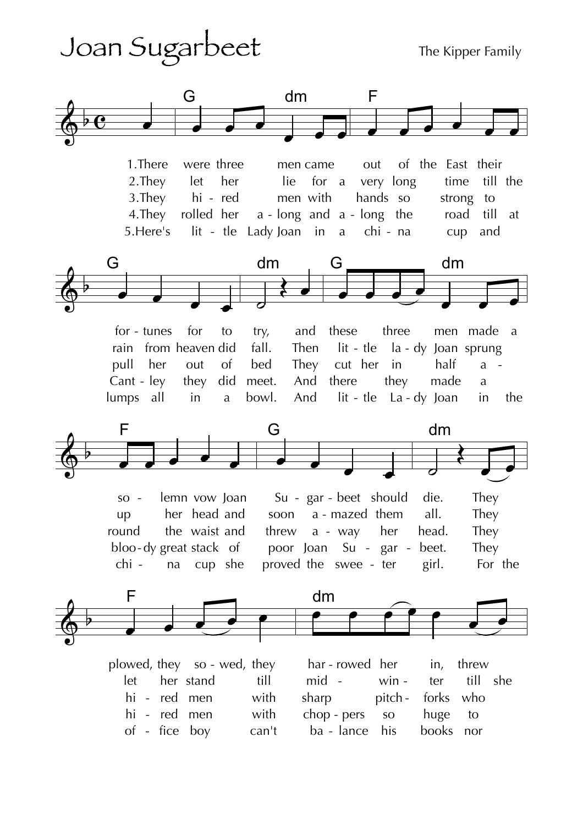## Joan Sugarbeet

The Kipper Family